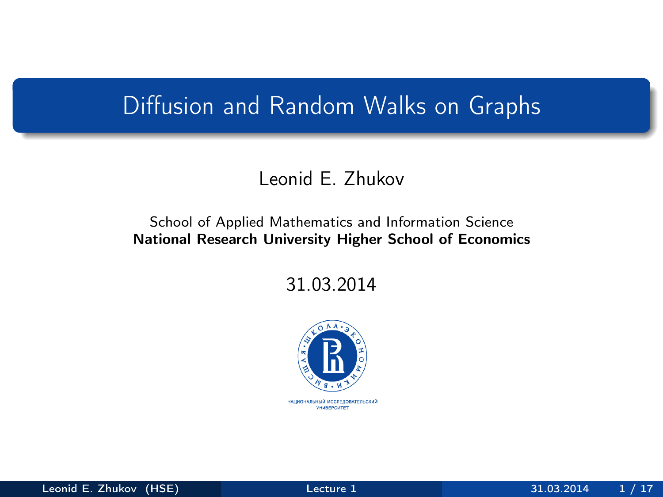### Diffusion and Random Walks on Graphs

#### Leonid E. Zhukov

#### School of Applied Mathematics and Information Science National Research University Higher School of Economics

31.03.2014

<span id="page-0-0"></span>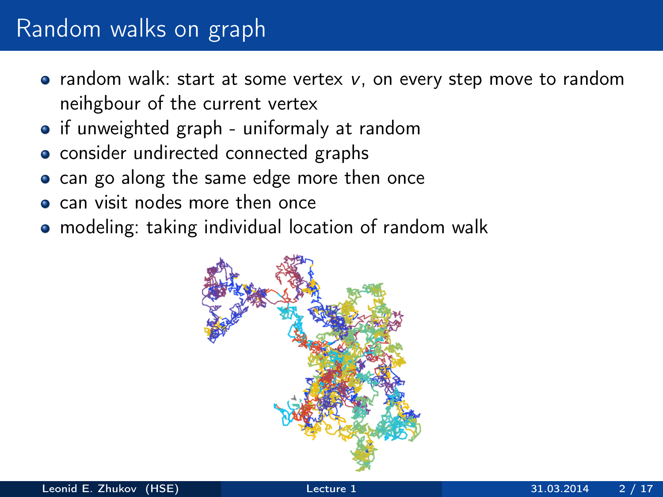- random walk: start at some vertex  $v$ , on every step move to random neihgbour of the current vertex
- if unweighted graph uniformaly at random
- consider undirected connected graphs
- can go along the same edge more then once
- can visit nodes more then once
- modeling: taking individual location of random walk

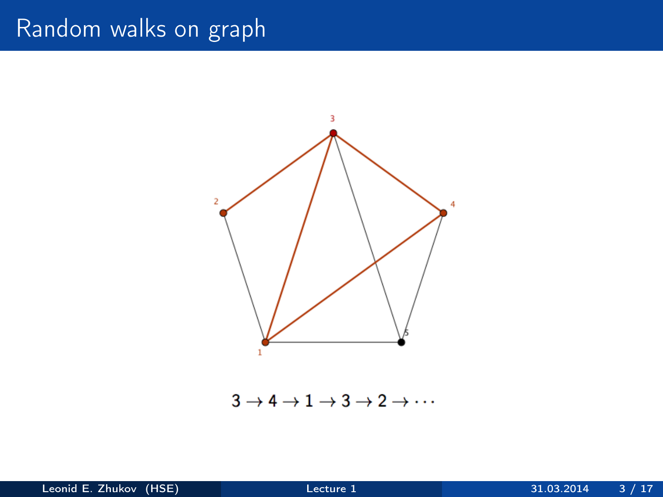

 $3 \rightarrow 4 \rightarrow 1 \rightarrow 3 \rightarrow 2 \rightarrow \cdots$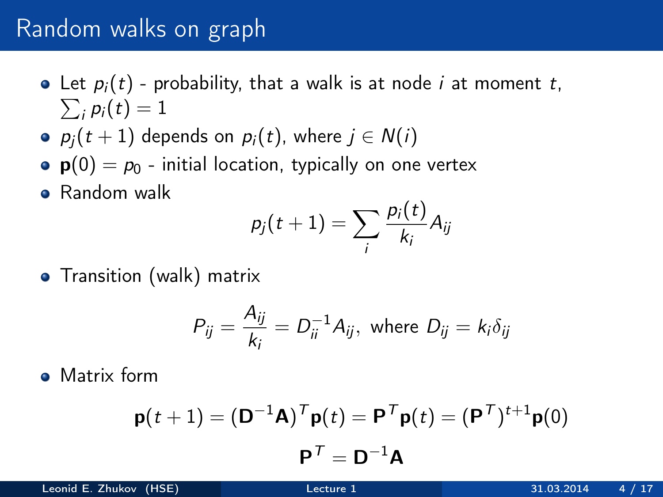- $\sum_i p_i(t) = 1$ • Let  $p_i(t)$  - probability, that a walk is at node *i* at moment *t*,
- $p_i(t + 1)$  depends on  $p_i(t)$ , where  $j \in N(i)$
- $p(0) = p_0$  initial location, typically on one vertex
- **•** Random walk

$$
p_j(t+1) = \sum_i \frac{p_i(t)}{k_i} A_{ij}
$$

• Transition (walk) matrix

$$
P_{ij} = \frac{A_{ij}}{k_i} = D_{ii}^{-1} A_{ij}, \text{ where } D_{ij} = k_i \delta_{ij}
$$

• Matrix form

$$
\mathbf{p}(t+1) = (\mathbf{D}^{-1}\mathbf{A})^T \mathbf{p}(t) = \mathbf{P}^T \mathbf{p}(t) = (\mathbf{P}^T)^{t+1} \mathbf{p}(0)
$$

$$
\mathbf{P}^T = \mathbf{D}^{-1} \mathbf{A}
$$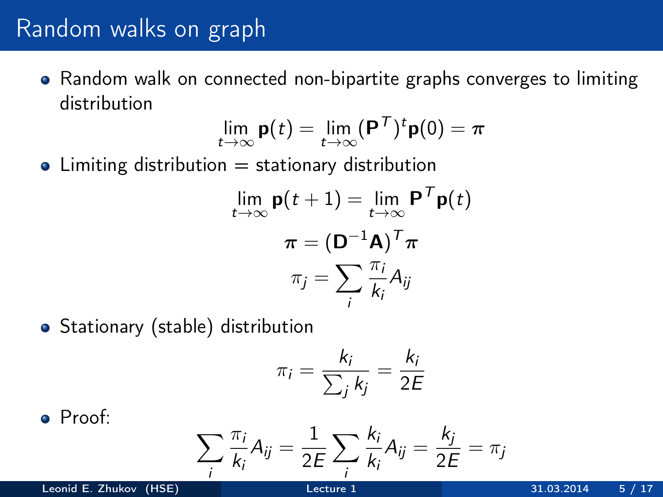Random walk on connected non-bipartite graphs converges to limiting distribution

$$
\lim_{t\to\infty}\mathbf{p}(t)=\lim_{t\to\infty}(\mathbf{P}^\mathcal{T})^t\mathbf{p}(0)=\boldsymbol{\pi}
$$

 $\bullet$  Limiting distribution  $=$  stationary distribution

$$
\lim_{t \to \infty} \mathbf{p}(t+1) = \lim_{t \to \infty} \mathbf{P}^T \mathbf{p}(t)
$$

$$
\pi = (\mathbf{D}^{-1} \mathbf{A})^T \pi
$$

$$
\pi_j = \sum_i \frac{\pi_i}{k_i} A_{ij}
$$

• Stationary (stable) distribution

$$
\pi_i = \frac{k_i}{\sum_j k_j} = \frac{k_i}{2E}
$$

Proof:

$$
\sum_i \frac{\pi_i}{k_i} A_{ij} = \frac{1}{2E} \sum_i \frac{k_i}{k_i} A_{ij} = \frac{k_j}{2E} = \pi_j
$$

Leonid E. Zhukov (HSE) [Lecture 1](#page-0-0) 31.03.2014 5 / 17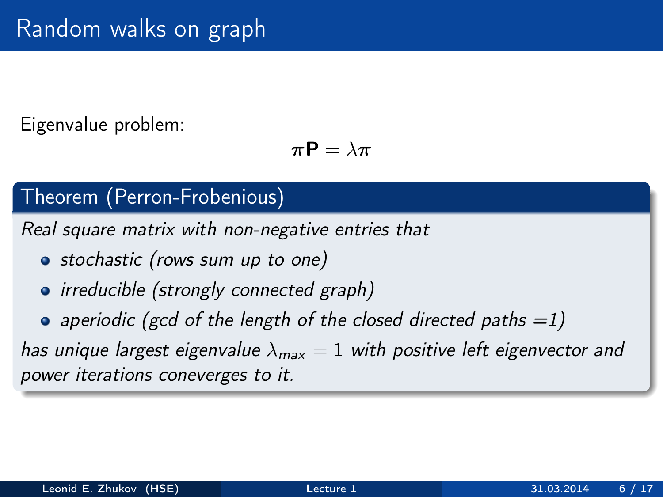### Eigenvalue problem:

$$
\pi \mathsf{P} = \lambda \pi
$$

### Theorem (Perron-Frobenious)

Real square matrix with non-negative entries that

- stochastic (rows sum up to one)
- irreducible (strongly connected graph)
- aperiodic (gcd of the length of the closed directed paths  $=1$ )

has unique largest eigenvalue  $\lambda_{\text{max}} = 1$  with positive left eigenvector and power iterations coneverges to it.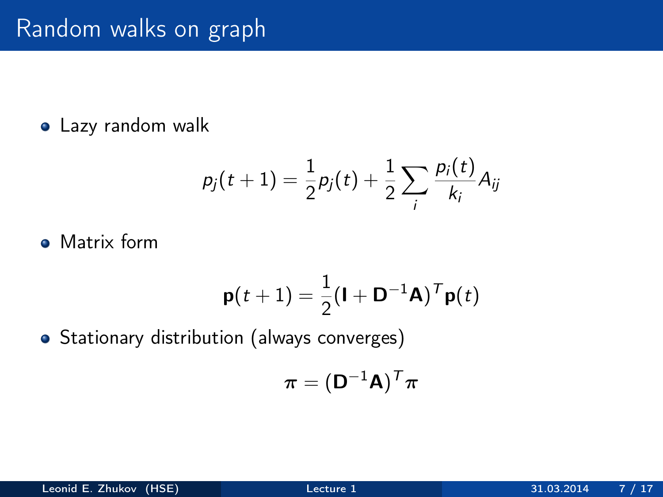#### Lazy random walk

$$
p_j(t+1) = \frac{1}{2}p_j(t) + \frac{1}{2}\sum_i \frac{p_i(t)}{k_i}A_{ij}
$$

• Matrix form

$$
\mathbf{p}(t+1) = \frac{1}{2}(\mathbf{I} + \mathbf{D}^{-1}\mathbf{A})^T \mathbf{p}(t)
$$

• Stationary distribution (always converges)

$$
\boldsymbol{\pi} = (\mathsf{D}^{-1}\mathsf{A})^{\mathsf{T}}\boldsymbol{\pi}
$$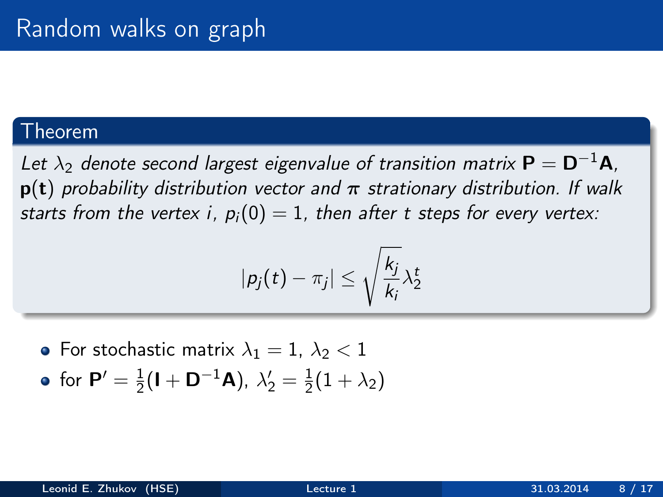#### Theorem

Let  $\lambda_2$  denote second largest eigenvalue of transition matrix  $P = D^{-1}A$ .  $p(t)$  probability distribution vector and  $\pi$  strationary distribution. If walk starts from the vertex i,  $p_i(0) = 1$ , then after t steps for every vertex:

$$
|p_j(t)-\pi_j|\leq \sqrt{\frac{k_j}{k_i}}\lambda_2^t
$$

• For stochastic matrix  $\lambda_1 = 1$ ,  $\lambda_2 < 1$ for  ${\sf P}^{\prime}=\frac{1}{2}$  $\frac{1}{2}$ (**I** + **D**<sup>-1</sup>**A**),  $\lambda'_2 = \frac{1}{2}$  $rac{1}{2}(1+\lambda_2)$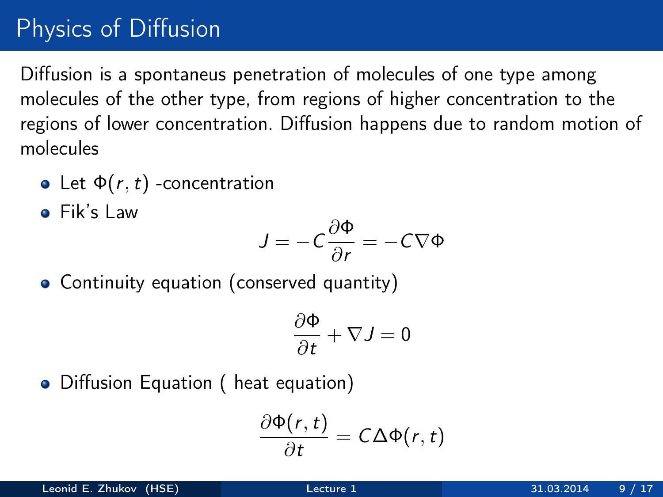# Physics of Diffusion

Diffusion is a spontaneus penetration of molecules of one type among molecules of the other type, from regions of higher concentration to the regions of lower concentration. Diffusion happens due to random motion of molecules

- Let  $\Phi(r, t)$  -concentration
- Fik's Law

$$
J=-C\frac{\partial\Phi}{\partial r}=-C\nabla\Phi
$$

Continuity equation (conserved quantity)

$$
\frac{\partial \Phi}{\partial t} + \nabla J = 0
$$

• Diffusion Equation ( heat equation)

$$
\frac{\partial \Phi(r,t)}{\partial t} = C \Delta \Phi(r,t)
$$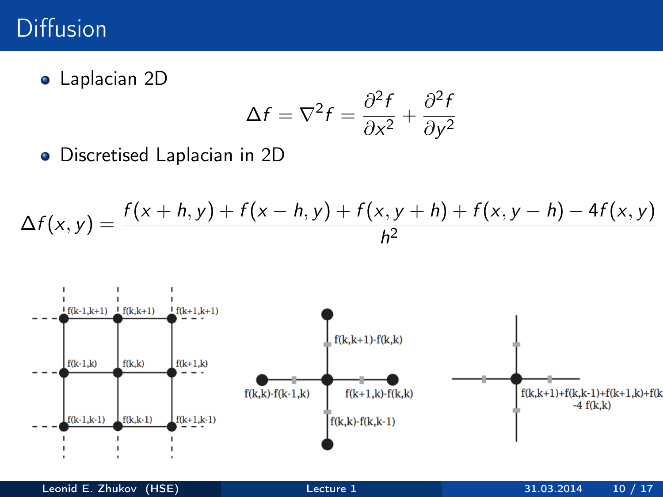### Diffusion

Laplacian 2D

$$
\Delta f = \nabla^2 f = \frac{\partial^2 f}{\partial x^2} + \frac{\partial^2 f}{\partial y^2}
$$

Discretised Laplacian in 2D

$$
\Delta f(x, y) = \frac{f(x + h, y) + f(x - h, y) + f(x, y + h) + f(x, y - h) - 4f(x, y)}{h^2}
$$

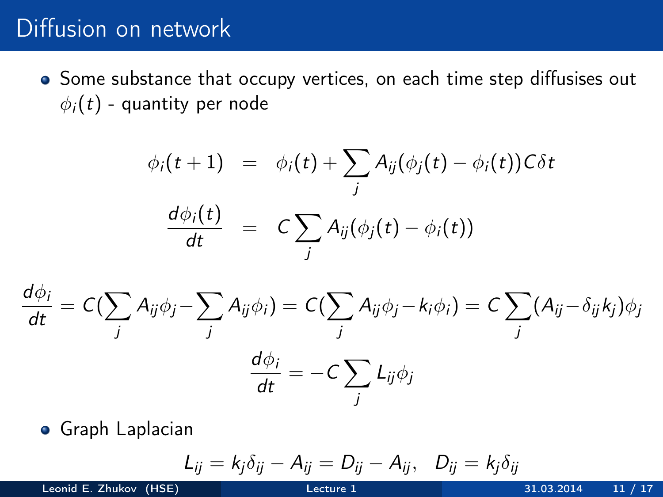### Diffusion on network

• Some substance that occupy vertices, on each time step diffusises out  $\phi_i(t)$  - quantity per node

$$
\begin{array}{rcl}\n\phi_i(t+1) & = & \phi_i(t) + \sum_j A_{ij}(\phi_j(t) - \phi_i(t))C\delta t \\
\frac{d\phi_i(t)}{dt} & = & C\sum_j A_{ij}(\phi_j(t) - \phi_i(t))\n\end{array}
$$

$$
\frac{d\phi_i}{dt} = C(\sum_j A_{ij}\phi_j - \sum_j A_{ij}\phi_i) = C(\sum_j A_{ij}\phi_j - k_i\phi_i) = C\sum_j (A_{ij} - \delta_{ij}k_j)\phi_j
$$

$$
\frac{d\phi_i}{dt} = -C\sum_j L_{ij}\phi_j
$$

Graph Laplacian

$$
L_{ij} = k_j \delta_{ij} - A_{ij} = D_{ij} - A_{ij}, \quad D_{ij} = k_j \delta_{ij}
$$

Leonid E. Zhukov (HSE) [Lecture 1](#page-0-0) 31.03.2014 11 / 17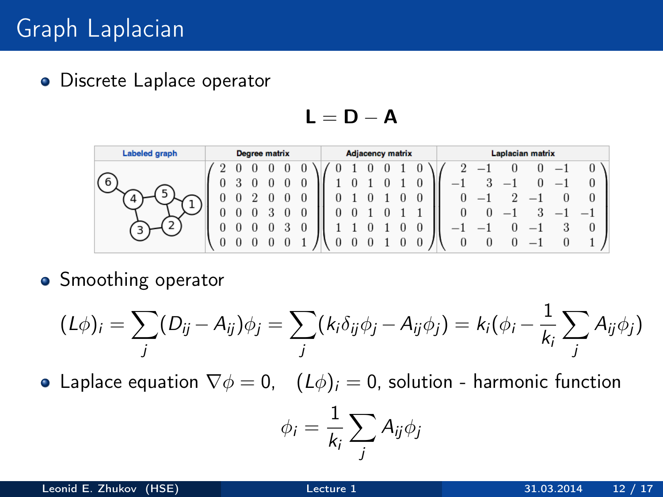**·** Discrete Laplace operator

 $L = D - A$ 

| <b>Labeled graph</b> | Degree matrix |  |  |  |  |   | <b>Adjacency matrix</b> |  |  |  |  |  |  | Laplacian matrix |        |                          |                          |         |                          |  |
|----------------------|---------------|--|--|--|--|---|-------------------------|--|--|--|--|--|--|------------------|--------|--------------------------|--------------------------|---------|--------------------------|--|
|                      |               |  |  |  |  |   |                         |  |  |  |  |  |  |                  |        |                          |                          |         | $\bf{0}$                 |  |
| 6                    | U             |  |  |  |  | 0 |                         |  |  |  |  |  |  | - 1              |        |                          |                          |         | $\theta$                 |  |
|                      | 0             |  |  |  |  |   |                         |  |  |  |  |  |  |                  | $\sim$ |                          | $\overline{\phantom{a}}$ |         | $\cup$                   |  |
|                      |               |  |  |  |  |   |                         |  |  |  |  |  |  | $\theta$         |        | $\overline{\phantom{a}}$ |                          |         | $\overline{\phantom{a}}$ |  |
|                      |               |  |  |  |  | 0 |                         |  |  |  |  |  |  |                  |        |                          |                          | $\cdot$ | $\theta$                 |  |
|                      | U             |  |  |  |  |   |                         |  |  |  |  |  |  |                  |        |                          |                          |         |                          |  |

• Smoothing operator

$$
(L\phi)_i = \sum_j (D_{ij} - A_{ij})\phi_j = \sum_j (k_i \delta_{ij} \phi_j - A_{ij} \phi_j) = k_i (\phi_i - \frac{1}{k_i} \sum_j A_{ij} \phi_j)
$$

• Laplace equation  $\nabla \phi = 0$ ,  $(L\phi)_i = 0$ , solution - harmonic function

$$
\phi_i = \frac{1}{k_i} \sum_j A_{ij} \phi_j
$$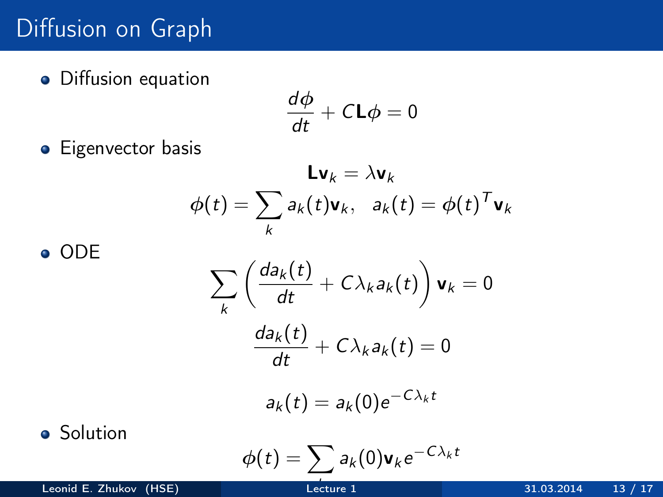# Diffusion on Graph

**·** Diffusion equation

$$
\frac{d\phi}{dt} + C \mathbf{L} \phi = 0
$$

**•** Eigenvector basis

$$
\mathbf{L}\mathbf{v}_k = \lambda \mathbf{v}_k
$$

$$
\phi(t) = \sum_k a_k(t)\mathbf{v}_k, \ \ a_k(t) = \phi(t)^T \mathbf{v}_k
$$

ODE

$$
\sum_{k} \left( \frac{da_{k}(t)}{dt} + C\lambda_{k}a_{k}(t) \right) \mathbf{v}_{k} = 0
$$

$$
\frac{da_{k}(t)}{dt} + C\lambda_{k}a_{k}(t) = 0
$$

$$
a_{k}(t) = a_{k}(0)e^{-C\lambda_{k}t}
$$

**•** Solution

$$
\phi(t) = \sum_i a_k(0) \mathbf{v}_k e^{-C\lambda_k t}
$$

Leonid E. Zhukov (HSE) [Lecture 1](#page-0-0) 31.03.2014 13 / 17

Lecture 1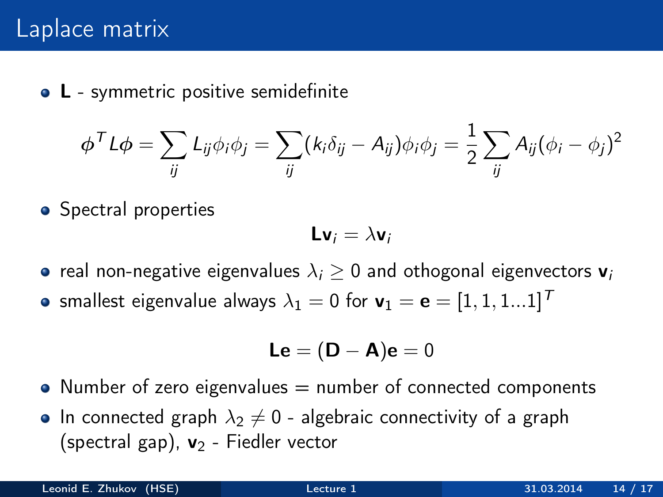• L - symmetric positive semidefinite

$$
\phi^T L \phi = \sum_{ij} L_{ij} \phi_i \phi_j = \sum_{ij} (k_i \delta_{ij} - A_{ij}) \phi_i \phi_j = \frac{1}{2} \sum_{ij} A_{ij} (\phi_i - \phi_j)^2
$$

• Spectral properties

$$
\mathsf{L} \mathsf{v}_i = \lambda \mathsf{v}_i
$$

- real non-negative eigenvalues  $\lambda_i \geq 0$  and othogonal eigenvectors  $\mathbf{v}_i$
- smallest eigenvalue always  $\lambda_1 = 0$  for  $\mathbf{v}_1 = \mathbf{e} = [1, 1, 1, .1]^T$

$$
\mathsf{Le} = (\mathsf{D} - \mathsf{A})\mathsf{e} = 0
$$

- Number of zero eigenvalues  $=$  number of connected components
- In connected graph  $\lambda_2 \neq 0$  algebraic connectivity of a graph (spectral gap),  $v_2$  - Fiedler vector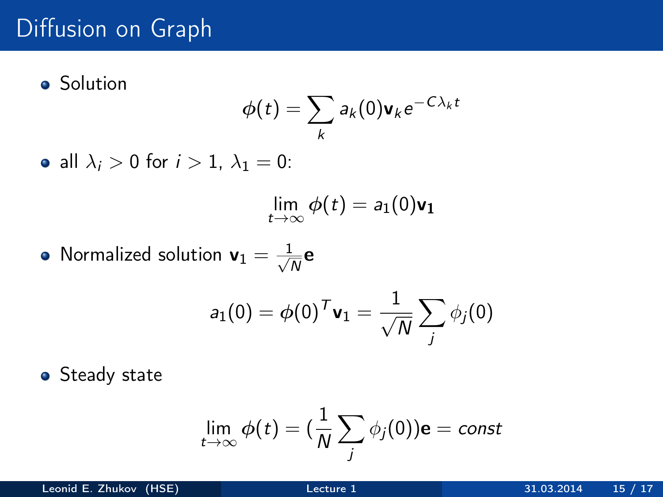# Diffusion on Graph

**•** Solution

$$
\phi(t) = \sum_{k} a_k(0) \mathbf{v}_k e^{-C\lambda_k t}
$$

• all  $\lambda_i > 0$  for  $i > 1$ ,  $\lambda_1 = 0$ :

$$
\lim_{t\to\infty}\phi(t)=a_1(0)\mathbf{v_1}
$$

Normalized solution  $\mathbf{v}_1 = \frac{1}{\sqrt{2}}$  $\frac{L}{N}$ e

$$
a_1(0) = \phi(0)^T \mathbf{v}_1 = \frac{1}{\sqrt{N}} \sum_j \phi_j(0)
$$

**•** Steady state

$$
\lim_{t\to\infty}\phi(t)=(\frac{1}{N}\sum_j\phi_j(0))\mathbf{e}=const
$$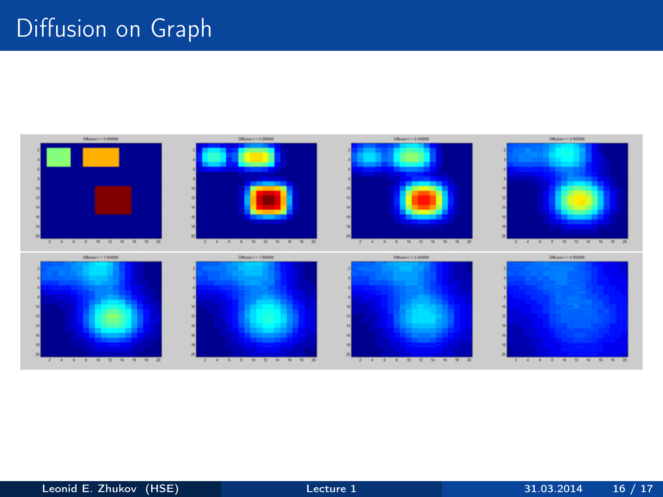# Diffusion on Graph